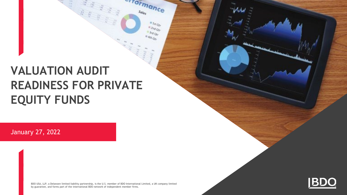# **VALUATION AUDIT READINESS FOR PRIVATE EQUITY FUNDS**

January 27, 2022

BDO USA, LLP, a Delaware limited liability partnership, is the U.S. member of BDO International Limited, a UK company limited by guarantee, and forms part of the international BDO network of independent member firms.

*Formance* 

 $a_{\ensuremath{\text{J}}\ensuremath{\text{q}}\ensuremath{\text{r}}\ensuremath{\text{q}}\ensuremath{\text{r}}\ensuremath{\text{r}}\ensuremath{\text{q}}\ensuremath{\text{r}}\ensuremath{\text{r}}$  $\begin{aligned} \frac{d\mathbf{r}}{dt} = \frac{1}{2} \frac{\partial \mathbf{r}}{\partial \mathbf{r}} \frac{\partial \mathbf{r}}{\partial \mathbf{r}} \end{aligned}$  $3rdQ_{tr}$  $4th_{Q_0}$ 

 $s_{\rm{alg}}$ 

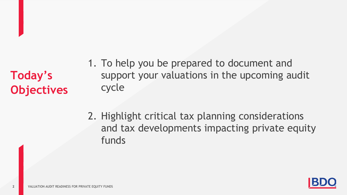**Today's Objectives**

- 1. To help you be prepared to document and support your valuations in the upcoming audit cycle
- 2. Highlight critical tax planning considerations and tax developments impacting private equity funds

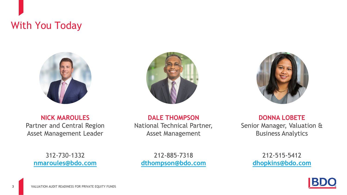## With You Today







**NICK MAROULES** Partner and Central Region Asset Management Leader

**DALE THOMPSON** National Technical Partner, Asset Management

**DONNA LOBETE** Senior Manager, Valuation & Business Analytics

312-730-1332 **[nmaroules@bdo.com](mailto:tadamson@bdo.com)** 

212-885-7318 **[dthompson@bdo.com](mailto:jcanavan@bdo.com)** 

212-515-5412 **[dhopkins@bdo.com](mailto:kkostner@bdo.com)** 

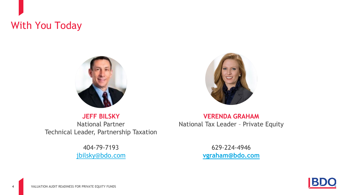## With You Today



**JEFF BILSKY** National Partner Technical Leader, Partnership Taxation

> 404-79-7193 [jbilsky@bdo.com](mailto:jbilsky@bdo.com)

**VERENDA GRAHAM** National Tax Leader – Private Equity

> 629-224-4946 **[vgraham@bdo.com](mailto:Bonnie.Rumbold@salliemae.com)**

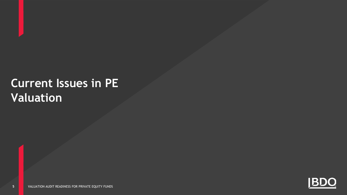# **Current Issues in PE Valuation**

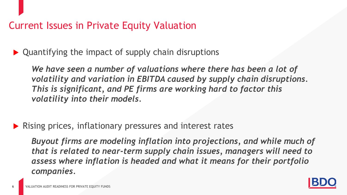### Current Issues in Private Equity Valuation

▶ Quantifying the impact of supply chain disruptions

We have seen a number of valuations where there has been a lot of *volatility and variation in EBITDA caused by supply chain disruptions. This is significant, and PE firms are working hard to factor this volatility into their models.*

**Rising prices, inflationary pressures and interest rates** 

*Buyout firms are modeling inflation into projections, and while much of that is related to near-term supply chain issues, managers will need to assess where inflation is headed and what it means for their portfolio companies.*

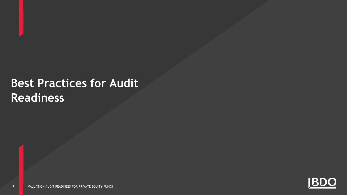# **Best Practices for Audit Readiness**

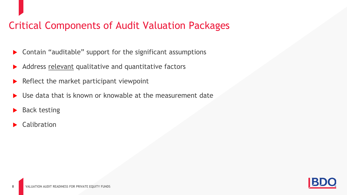## Critical Components of Audit Valuation Packages

- Contain "auditable" support for the significant assumptions
- Address relevant qualitative and quantitative factors
- Reflect the market participant viewpoint
- Use data that is known or knowable at the measurement date
- Back testing
- Calibration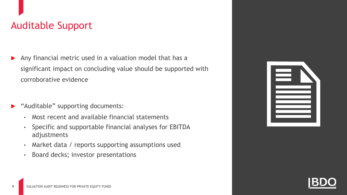## Auditable Support

- Any financial metric used in a valuation model that has a significant impact on concluding value should be supported with corroborative evidence
- "Auditable" supporting documents:
	- Most recent and available financial statements
	- Specific and supportable financial analyses for EBITDA adjustments
	- Market data / reports supporting assumptions used
	- Board decks; investor presentations

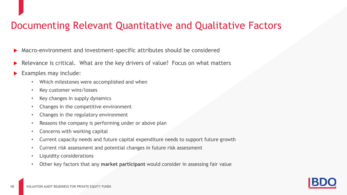## Documenting Relevant Quantitative and Qualitative Factors

- Macro-environment and investment-specific attributes should be considered
- Relevance is critical. What are the key drivers of value? Focus on what matters
- Examples may include:
	- Which milestones were accomplished and when
	- Key customer wins/losses
	- Key changes in supply dynamics
	- Changes in the competitive environment
	- Changes in the regulatory environment
	- Reasons the company is performing under or above plan
	- Concerns with working capital
	- Current capacity needs and future capital expenditure needs to support future growth
	- Current risk assessment and potential changes in future risk assessment
	- Liquidity considerations
	- Other key factors that any **market participant** would consider in assessing fair value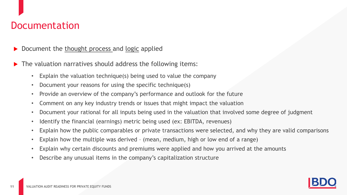### Documentation

- Document the thought process and logic applied
- The valuation narratives should address the following items:
	- Explain the valuation technique(s) being used to value the company
	- Document your reasons for using the specific technique(s)
	- Provide an overview of the company's performance and outlook for the future
	- Comment on any key industry trends or issues that might impact the valuation
	- Document your rational for all inputs being used in the valuation that involved some degree of judgment
	- Identify the financial (earnings) metric being used (ex: EBITDA, revenues)
	- Explain how the public comparables or private transactions were selected, and why they are valid comparisons
	- Explain how the multiple was derived (mean, medium, high or low end of a range)
	- Explain why certain discounts and premiums were applied and how you arrived at the amounts
	- Describe any unusual items in the company's capitalization structure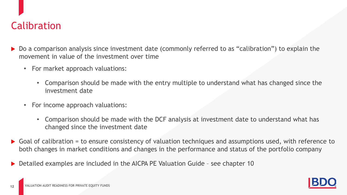## Calibration

- Do a comparison analysis since investment date (commonly referred to as "calibration") to explain the movement in value of the investment over time
	- For market approach valuations:
		- Comparison should be made with the entry multiple to understand what has changed since the investment date
	- For income approach valuations:
		- Comparison should be made with the DCF analysis at investment date to understand what has changed since the investment date
- $\triangleright$  Goal of calibration = to ensure consistency of valuation techniques and assumptions used, with reference to both changes in market conditions and changes in the performance and status of the portfolio company
- ▶ Detailed examples are included in the AICPA PE Valuation Guide see chapter 10

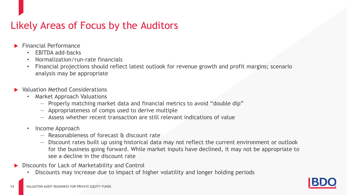## Likely Areas of Focus by the Auditors

- Financial Performance
	- EBITDA add-backs
	- Normalization/run-rate financials
	- Financial projections should reflect latest outlook for revenue growth and profit margins; scenario analysis may be appropriate
- **Naluation Method Considerations** 
	- Market Approach Valuations
		- ― Properly matching market data and financial metrics to avoid "double dip"
		- ― Appropriateness of comps used to derive multiple
		- ― Assess whether recent transaction are still relevant indications of value
	- Income Approach

- ― Reasonableness of forecast & discount rate
- ― Discount rates built up using historical data may not reflect the current environment or outlook for the business going forward. While market inputs have declined, it may not be appropriate to see a decline in the discount rate
- Discounts for Lack of Marketability and Control
	- Discounts may increase due to impact of higher volatility and longer holding periods

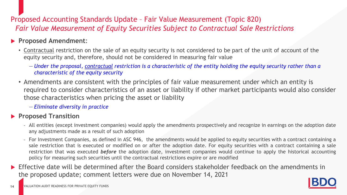### Proposed Accounting Standards Update – Fair Value Measurement (Topic 820) *Fair Value Measurement of Equity Securities Subject to Contractual Sale Restrictions*

#### **Proposed Amendment**:

- Contractual restriction on the sale of an equity security is not considered to be part of the unit of account of the equity security and, therefore, should not be considered in measuring fair value
	- ― *Under the proposal, contractual restriction is a characteristic of the entity holding the equity security rather than a characteristic of the equity security*
- Amendments are consistent with the principles of fair value measurement under which an entity is required to consider characteristics of an asset or liability if other market participants would also consider those characteristics when pricing the asset or liability

― *Eliminate diversity in practice*

#### **Proposed Transition**

- All entities (except investment companies) would apply the amendments prospectively and recognize in earnings on the adoption date any adjustments made as a result of such adoption
- For Investment Companies, as defined in ASC 946, the amendments would be applied to equity securities with a contract containing a sale restriction that is executed or modified on or after the adoption date. For equity securities with a contract containing a sale restriction that was executed *before* the adoption date, investment companies would continue to apply the historical accounting policy for measuring such securities until the contractual restrictions expire or are modified
- **Effective date will be determined after the Board considers stakeholder feedback on the amendments in** the proposed update; comment letters were due on November 14, 2021

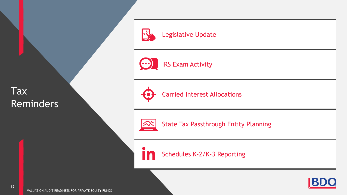Tax Reminders



Legislative Update

IRS Exam Activity  $(\cdot \cdot)$ 



Carried Interest Allocations



State Tax Passthrough Entity Planning

Schedules K-2/K-3 Reporting



VALUATION AUDIT READINESS FOR PRIVATE EQUITY FUNDS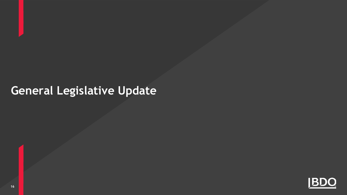# **General Legislative Update**

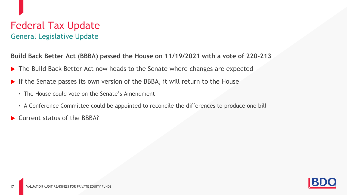### Federal Tax Update General Legislative Update

**Build Back Better Act (BBBA) passed the House on 11/19/2021 with a vote of 220-213**

- ▶ The Build Back Better Act now heads to the Senate where changes are expected
- If the Senate passes its own version of the BBBA, it will return to the House
	- The House could vote on the Senate's Amendment
	- A Conference Committee could be appointed to reconcile the differences to produce one bill
- Current status of the BBBA?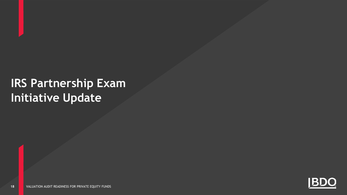# **IRS Partnership Exam Initiative Update**

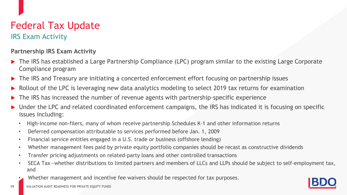### Federal Tax Update IRS Exam Activity

#### **Partnership IRS Exam Activity**

- The IRS has established a Large Partnership Compliance (LPC) program similar to the existing Large Corporate Compliance program
- The IRS and Treasury are initiating a concerted enforcement effort focusing on partnership issues
- Rollout of the LPC is leveraging new data analytics modeling to select 2019 tax returns for examination
- The IRS has increased the number of revenue agents with partnership-specific experience
- Under the LPC and related coordinated enforcement campaigns, the IRS has indicated it is focusing on specific issues including:
	- High-income non-filers, many of whom receive partnership Schedules K-1 and other information returns
	- Deferred compensation attributable to services performed before Jan. 1, 2009
	- Financial service entities engaged in a U.S. trade or business (offshore lending)
	- Whether management fees paid by private equity portfolio companies should be recast as constructive dividends
	- Transfer pricing adjustments on related-party loans and other controlled transactions
	- SECA Tax—whether distributions to limited partners and members of LLCs and LLPs should be subject to self-employment tax, and
	- Whether management and incentive fee waivers should be respected for tax purposes.



VALUATION AUDIT READINESS FOR PRIVATE EQUITY FUNDS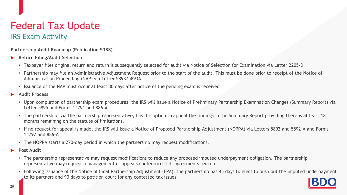### Federal Tax Update IRS Exam Activity

**Partnership Audit Roadmap (Publication 5388)**

- **Return Filing/Audit Selection**
	- Taxpayer files original return and return is subsequently selected for audit via Notice of Selection for Examination via Letter 2205-D
	- Partnership may file an Administrative Adjustment Request prior to the start of the audit. This must be done prior to receipt of the Notice of Administration Proceeding (NAP) via Letter 5893/5893A.
	- Issuance of the NAP must occur at least 30 days after notice of the pending exam is received
- **Audit Process**
	- Upon completion of partnership exam procedures, the IRS will issue a Notice of Preliminary Partnership Examination Changes (Summary Report) via Letter 5895 and Forms 14791 and 886-A
	- The partnership, via the partnership representative, has the option to appeal the findings in the Summary Report providing there is at least 18 months remaining on the statute of limitations.
	- If no request for appeal is made, the IRS will issue a Notice of Proposed Partnership Adjustment (NOPPA) via Letters 5892 and 5892-A and Forms 14792 and 886-A
	- The NOPPA starts a 270-day period in which the partnership may request modifications.
- **Post Audit**
	- The partnership representative may request modifications to reduce any proposed imputed underpayment obligation. The partnership representative may request a management or appeals conference if disagreements remain
	- Following issuance of the Notice of Final Partnership Adjustment (FPA), the partnership has 45 days to elect to push out the imputed underpayment to its partners and 90 days to petition court for any contested tax issues

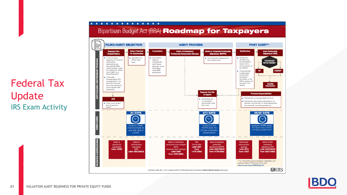## Federal Tax Update IRS Exam Activity



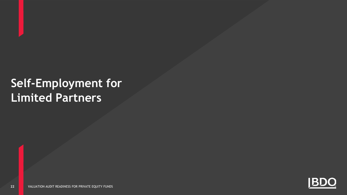# **Self-Employment for Limited Partners**

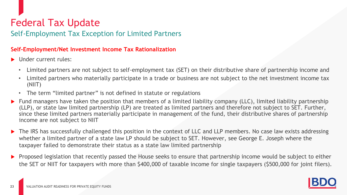### Self-Employment Tax Exception for Limited Partners

#### **Self-Employment/Net Investment Income Tax Rationalization**

- ▶ Under current rules:
	- Limited partners are not subject to self-employment tax (SET) on their distributive share of partnership income and
	- Limited partners who materially participate in a trade or business are not subject to the net investment income tax (NIIT)
	- The term "limited partner" is not defined in statute or regulations
- $\blacktriangleright$  Fund managers have taken the position that members of a limited liability company (LLC), limited liability partnership (LLP), or state law limited partnership (LP) are treated as limited partners and therefore not subject to SET. Further, since these limited partners materially participate in management of the fund, their distributive shares of partnership income are not subject to NIIT
- The IRS has successfully challenged this position in the context of LLC and LLP members. No case law exists addressing whether a limited partner of a state law LP should be subject to SET. However, see George E. Joseph where the taxpayer failed to demonstrate their status as a state law limited partnership
- Proposed legislation that recently passed the House seeks to ensure that partnership income would be subject to either the SET or NIIT for taxpayers with more than \$400,000 of taxable income for single taxpayers (\$500,000 for joint filers).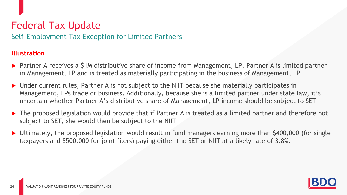Self-Employment Tax Exception for Limited Partners

#### **Illustration**

- ▶ Partner A receives a \$1M distributive share of income from Management, LP. Partner A is limited partner in Management, LP and is treated as materially participating in the business of Management, LP
- ▶ Under current rules, Partner A is not subject to the NIIT because she materially participates in Management, LPs trade or business. Additionally, because she is a limited partner under state law, it's uncertain whether Partner A's distributive share of Management, LP income should be subject to SET
- ▶ The proposed legislation would provide that if Partner A is treated as a limited partner and therefore not subject to SET, she would then be subject to the NIIT
- Ultimately, the proposed legislation would result in fund managers earning more than \$400,000 (for single taxpayers and \$500,000 for joint filers) paying either the SET or NIIT at a likely rate of 3.8%.

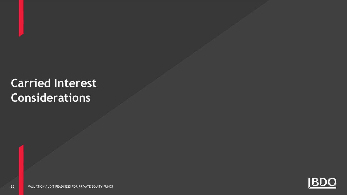# **Carried Interest Considerations**

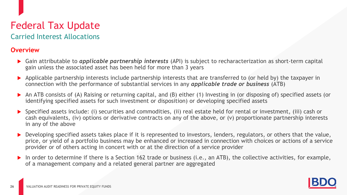Carried Interest Allocations

#### **Overview**

- Gain attributable to *applicable partnership interests* (API) is subject to recharacterization as short-term capital gain unless the associated asset has been held for more than 3 years
- Applicable partnership interests include partnership interests that are transferred to (or held by) the taxpayer in connection with the performance of substantial services in any *applicable trade or business* (ATB)
- An ATB consists of (A) Raising or returning capital, and (B) either (1) Investing in (or disposing of) specified assets (or identifying specified assets for such investment or disposition) or developing specified assets
- Specified assets include: (i) securities and commodities, (ii) real estate held for rental or investment, (iii) cash or cash equivalents, (iv) options or derivative contracts on any of the above, or (v) proportionate partnership interests in any of the above
- Developing specified assets takes place if it is represented to investors, lenders, regulators, or others that the value, price, or yield of a portfolio business may be enhanced or increased in connection with choices or actions of a service provider or of others acting in concert with or at the direction of a service provider
- In order to determine if there is a Section 162 trade or business (i.e., an ATB), the collective activities, for example, of a management company and a related general partner are aggregated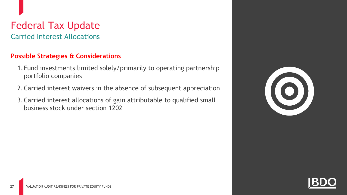Carried Interest Allocations

#### **Possible Strategies & Considerations**

- 1.Fund investments limited solely/primarily to operating partnership portfolio companies
- 2.Carried interest waivers in the absence of subsequent appreciation
- 3.Carried interest allocations of gain attributable to qualified small business stock under section 1202



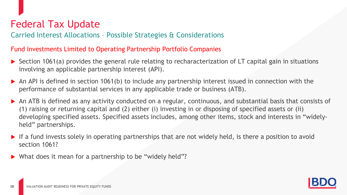Carried Interest Allocations – Possible Strategies & Considerations

#### Fund Investments Limited to Operating Partnership Portfolio Companies

- $\triangleright$  Section 1061(a) provides the general rule relating to recharacterization of LT capital gain in situations involving an applicable partnership interest (API).
- $\triangleright$  An API is defined in section 1061(b) to include any partnership interest issued in connection with the performance of substantial services in any applicable trade or business (ATB).
- An ATB is defined as any activity conducted on a regular, continuous, and substantial basis that consists of (1) raising or returning capital and (2) either (i) investing in or disposing of specified assets or (ii) developing specified assets. Specified assets includes, among other items, stock and interests in "widelyheld" partnerships.
- $\blacktriangleright$  If a fund invests solely in operating partnerships that are not widely held, is there a position to avoid section 1061?
- ▶ What does it mean for a partnership to be "widely held"?

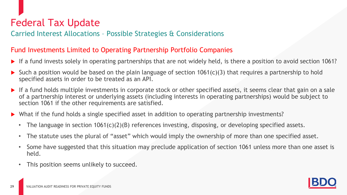Carried Interest Allocations – Possible Strategies & Considerations

#### Fund Investments Limited to Operating Partnership Portfolio Companies

- If a fund invests solely in operating partnerships that are not widely held, is there a position to avoid section 1061?
- Such a position would be based on the plain language of section 1061(c)(3) that requires a partnership to hold specified assets in order to be treated as an API.
- If a fund holds multiple investments in corporate stock or other specified assets, it seems clear that gain on a sale of a partnership interest or underlying assets (including interests in operating partnerships) would be subject to section 1061 if the other requirements are satisfied.
- What if the fund holds a single specified asset in addition to operating partnership investments?
	- The language in section 1061(c)(2)(B) references investing, disposing, or developing specified assets.
	- The statute uses the plural of "asset" which would imply the ownership of more than one specified asset.
	- Some have suggested that this situation may preclude application of section 1061 unless more than one asset is held.
	- This position seems unlikely to succeed.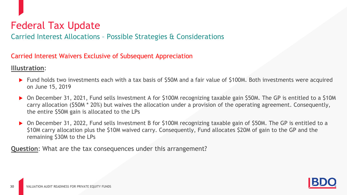Carried Interest Allocations – Possible Strategies & Considerations

#### Carried Interest Waivers Exclusive of Subsequent Appreciation

#### **Illustration**:

**30**

- ▶ Fund holds two investments each with a tax basis of \$50M and a fair value of \$100M. Both investments were acquired on June 15, 2019
- On December 31, 2021, Fund sells Investment A for \$100M recognizing taxable gain \$50M. The GP is entitled to a \$10M carry allocation (\$50M \* 20%) but waives the allocation under a provision of the operating agreement. Consequently, the entire \$50M gain is allocated to the LPs
- ▶ On December 31, 2022, Fund sells Investment B for \$100M recognizing taxable gain of \$50M. The GP is entitled to a \$10M carry allocation plus the \$10M waived carry. Consequently, Fund allocates \$20M of gain to the GP and the remaining \$30M to the LPs

**Question**: What are the tax consequences under this arrangement?

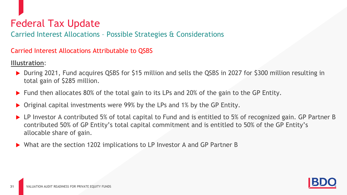Carried Interest Allocations – Possible Strategies & Considerations

#### Carried Interest Allocations Attributable to QSBS

**Illustration**:

- ▶ During 2021, Fund acquires QSBS for \$15 million and sells the QSBS in 2027 for \$300 million resulting in total gain of \$285 million.
- ▶ Fund then allocates 80% of the total gain to its LPs and 20% of the gain to the GP Entity.
- ▶ Original capital investments were 99% by the LPs and 1% by the GP Entity.
- ▶ LP Investor A contributed 5% of total capital to Fund and is entitled to 5% of recognized gain. GP Partner B contributed 50% of GP Entity's total capital commitment and is entitled to 50% of the GP Entity's allocable share of gain.
- ▶ What are the section 1202 implications to LP Investor A and GP Partner B

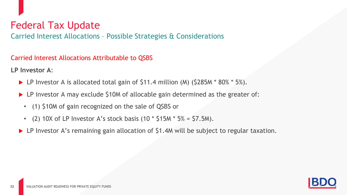Carried Interest Allocations – Possible Strategies & Considerations

Carried Interest Allocations Attributable to QSBS

**LP Investor A**:

- ▶ LP Investor A is allocated total gain of \$11.4 million (M) (\$285M \* 80% \* 5%).
- ▶ LP investor A may exclude \$10M of allocable gain determined as the greater of:
	- (1) \$10M of gain recognized on the sale of QSBS or
	- (2) 10X of LP Investor A's stock basis  $(10 * $15M * 5\% = $7.5M)$ .
- ▶ LP Investor A's remaining gain allocation of \$1.4M will be subject to regular taxation.

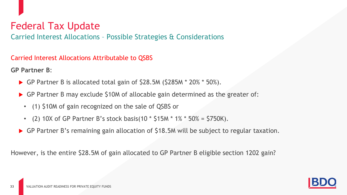Carried Interest Allocations – Possible Strategies & Considerations

Carried Interest Allocations Attributable to QSBS

**GP Partner B**:

**33**

- GP Partner B is allocated total gain of \$28.5M (\$285M  $*$  20%  $*$  50%).
- GP Partner B may exclude \$10M of allocable gain determined as the greater of:
	- (1) \$10M of gain recognized on the sale of QSBS or
	- (2) 10X of GP Partner B's stock basis(10  $*$  \$15M  $*$  1%  $*$  50% = \$750K).
- GP Partner B's remaining gain allocation of \$18.5M will be subject to regular taxation.

However, is the entire \$28.5M of gain allocated to GP Partner B eligible section 1202 gain?

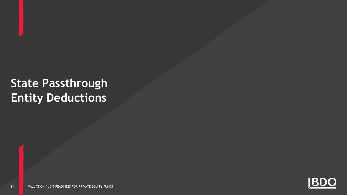# **State Passthrough Entity Deductions**

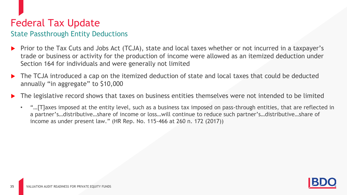### State Passthrough Entity Deductions

- Prior to the Tax Cuts and Jobs Act (TCJA), state and local taxes whether or not incurred in a taxpayer's trade or business or activity for the production of income were allowed as an itemized deduction under Section 164 for individuals and were generally not limited
- The TCJA introduced a cap on the itemized deduction of state and local taxes that could be deducted annually "in aggregate" to \$10,000
- The legislative record shows that taxes on business entities themselves were not intended to be limited
	- "…[T]axes imposed at the entity level, such as a business tax imposed on pass-through entities, that are reflected in a partner's…distributive…share of income or loss…will continue to reduce such partner's…distributive…share of income as under present law." (HR Rep. No. 115-466 at 260 n. 172 (2017))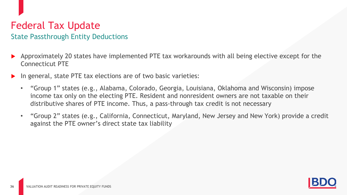### State Passthrough Entity Deductions

- Approximately 20 states have implemented PTE tax workarounds with all being elective except for the Connecticut PTE
- In general, state PTE tax elections are of two basic varieties:
	- "Group 1" states (e.g., Alabama, Colorado, Georgia, Louisiana, Oklahoma and Wisconsin) impose income tax only on the electing PTE. Resident and nonresident owners are not taxable on their distributive shares of PTE income. Thus, a pass-through tax credit is not necessary
	- "Group 2" states (e.g., California, Connecticut, Maryland, New Jersey and New York) provide a credit against the PTE owner's direct state tax liability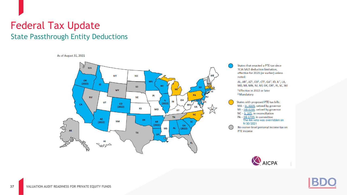### Federal Tax Update State Passthrough Entity Deductions

As of August 31, 2021



States that enacted a PTE tax since TCJA SALT deduction limitation, effective for 2021 (or earlier) unless noted:

AL, AR<sup>1</sup>, AZ<sup>1</sup>, CO<sup>1</sup>, CT<sup>2</sup>, GA<sup>1</sup>, ID, IL<sup>1</sup>, LA, MD, MI, MN, NJ, NY, OK, OR<sup>1</sup>, RI, SC, WI

<sup>1</sup> Effective in 2022 or later <sup>2</sup> Mandatory

States with proposed PTE tax bills:  $MA - H. 4009$ , vetoed by governor MI-HB 4288, vetoed by governor  $NC - S. 105$ , in reconciliation  $PA - \frac{HB\ 1709}{The\ MA\ veto\ was\ overridden\ on}$ 9/30/2021<br>No owner-level personal income tax on PTE income

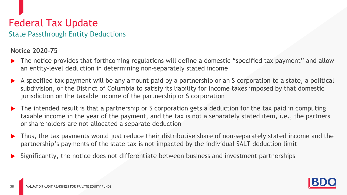### Federal Tax Update State Passthrough Entity Deductions

#### **Notice 2020-75**

- The notice provides that forthcoming regulations will define a domestic "specified tax payment" and allow an entity-level deduction in determining non-separately stated income
- A specified tax payment will be any amount paid by a partnership or an S corporation to a state, a political subdivision, or the District of Columbia to satisfy its liability for income taxes imposed by that domestic jurisdiction on the taxable income of the partnership or S corporation
- The intended result is that a partnership or S corporation gets a deduction for the tax paid in computing taxable income in the year of the payment, and the tax is not a separately stated item, i.e., the partners or shareholders are not allocated a separate deduction
- Thus, the tax payments would just reduce their distributive share of non-separately stated income and the partnership's payments of the state tax is not impacted by the individual SALT deduction limit
- Significantly, the notice does not differentiate between business and investment partnerships

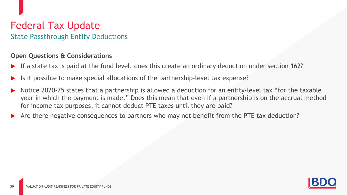### Federal Tax Update State Passthrough Entity Deductions

#### **Open Questions & Considerations**

- If a state tax is paid at the fund level, does this create an ordinary deduction under section 162?
- Is it possible to make special allocations of the partnership-level tax expense?
- Notice 2020-75 states that a partnership is allowed a deduction for an entity-level tax "for the taxable year in which the payment is made." Does this mean that even if a partnership is on the accrual method for income tax purposes, it cannot deduct PTE taxes until they are paid?
- Are there negative consequences to partners who may not benefit from the PTE tax deduction?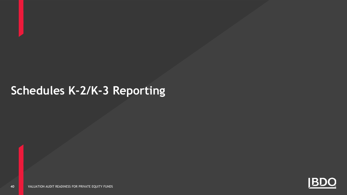# **Schedules K-2/K-3 Reporting**

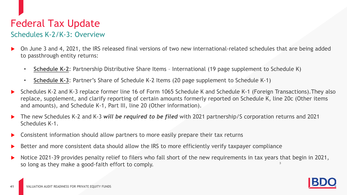### Federal Tax Update Schedules K-2/K-3: Overview

- On June 3 and 4, 2021, the IRS released final versions of two new international-related schedules that are being added to passthrough entity returns:
	- **Schedule K-2**: Partnership Distributive Share Items International (19 page supplement to Schedule K)
	- **Schedule K-3**: Partner's Share of Schedule K-2 Items (20 page supplement to Schedule K-1)
- ► Schedules K-2 and K-3 replace former line 16 of Form 1065 Schedule K and Schedule K-1 (Foreign Transactions).They also<br>replace, supplement, and clarify reporting of certain amounts formerly reported on Schedule K, line replace, supplement, and clarify reporting of certain amounts formerly reported on Schedule K, line 20c (Other items and amounts), and Schedule K-1, Part III, line 20 (Other information).
- ▶ The new Schedules K-2 and K-3 *will be required to be filed* with 2021 partnership/S corporation returns and 2021<br>Schedules K-1. Schedules K-1.
- **DED Consistent information should allow partners to more easily prepare their tax returns**
- Better and more consistent data should allow the IRS to more efficiently verify taxpayer compliance
- 3 Notice 2021-39 provides penalty relief to filers who fall short of the new requirements in tax years that begin in 2021, so long as they make a good-faith effort to comply.

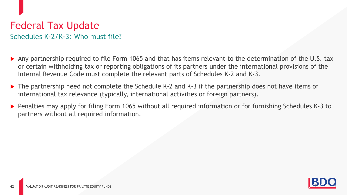### Federal Tax Update Schedules K-2/K-3: Who must file?

- Any partnership required to file Form 1065 and that has items relevant to the determination of the U.S. tax or certain withholding tax or reporting obligations of its partners under the international provisions of the Internal Revenue Code must complete the relevant parts of Schedules K-2 and K-3.
- ▶ The partnership need not complete the Schedule K-2 and K-3 if the partnership does not have items of international tax relevance (typically, international activities or foreign partners).
- ▶ Penalties may apply for filing Form 1065 without all required information or for furnishing Schedules K-3 to partners without all required information.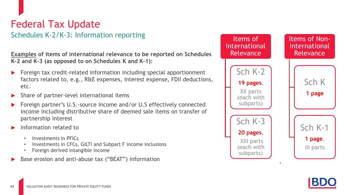### Federal Tax Update Schedules K-2/K-3: Information reporting

**Examples of items of international relevance to be reported on Schedules K-2 and K-3 (as opposed to on Schedules K and K-1):**

- che<br>D, e Foreign tax credit-related information including special apportionment factors related to, e.g., R&E expenses, interest expense, FDII deductions, etc.
- **BECC:**<br>
Share of partner-level international items
- 04 **Process Considerations** Foreign partner's U.S.-source income and/or U.S effectively connected income including distributive share of deemed sale items on transfer of partnership interest
- Information related to
	- Investments in PFICs
	- Investments in CFCs, GILTI and Subpart F income inclusions
	- Foreign derived intangible income
- Base erosion and anti-abuse tax ("BEAT") information

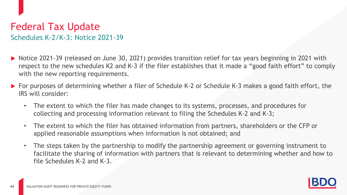### Federal Tax Update Schedules K-2/K-3: Notice 2021-39

- ▶ Notice 2021-39 (released on June 30, 2021) provides transition relief for tax years beginning in 2021 with respect to the new schedules K2 and K-3 if the filer establishes that it made a "good faith effort" to comply with the new reporting requirements.
- ▶ For purposes of determining whether a filer of Schedule K-2 or Schedule K-3 makes a good faith effort, the IRS will consider:
	- The extent to which the filer has made changes to its systems, processes, and procedures for collecting and processing information relevant to filing the Schedules K-2 and K-3;
	- The extent to which the filer has obtained information from partners, shareholders or the CFP or applied reasonable assumptions when information is not obtained; and
	- The steps taken by the partnership to modify the partnership agreement or governing instrument to facilitate the sharing of information with partners that is relevant to determining whether and how to file Schedules K-2 and K-3.

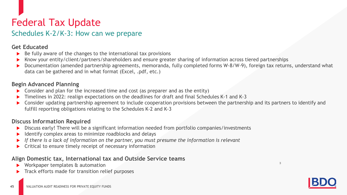### Federal Tax Update Schedules K-2/K-3: How can we prepare

#### **Get Educated**

**45**

- Be fully aware of the changes to the international tax provisions
- Know your entity/client/partners/shareholders and ensure greater sharing of information across tiered partnerships
- Documentation (amended partnership agreements, memoranda, fully completed forms W-8/W-9), foreign tax returns, understand what data can be gathered and in what format (Excel, .pdf, etc.)

# 01 **Begin Advanced Planning**

- 
- **Consider and plan for the increased time and cost (as preparer and as the entity)**<br> **Timelines in 2022: realign expectations on the deadlines for draft and final Schedings** Timelines in 2022: realign expectations on the deadlines for draft and final Schedules K-1 and K-3
- Consider updating partnership agreement to include cooperation provisions between the partnership and its partners to identify and fulfill reporting obligations relating to the Schedules K-2 and K-3

#### **Discuss Information Required**

- **Exalticum**<br>■ Discuss early! There will be a significant information needed from portfolio companies/investments<br>■ Discuss early! There will be a significant information needed from portfolio companies/investments
- Identify complex areas to minimize roadblocks and delays
- **is the carry.** There will be a significant information necessation, per croite companies investing<br>■ If there is a lack of information on the partner, you must presume the information is relevant
- Critical to ensure timely receipt of necessary information

#### **Align Domestic tax, International tax and Outside Service teams**

- Workpaper templates & automation
- Track efforts made for transition relief purposes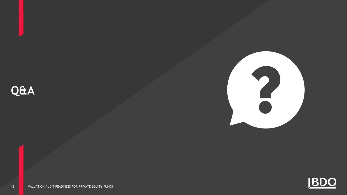





VALUATION AUDIT READINESS FOR PRIVATE EQUITY FUNDS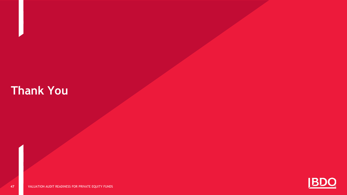# **Thank You**